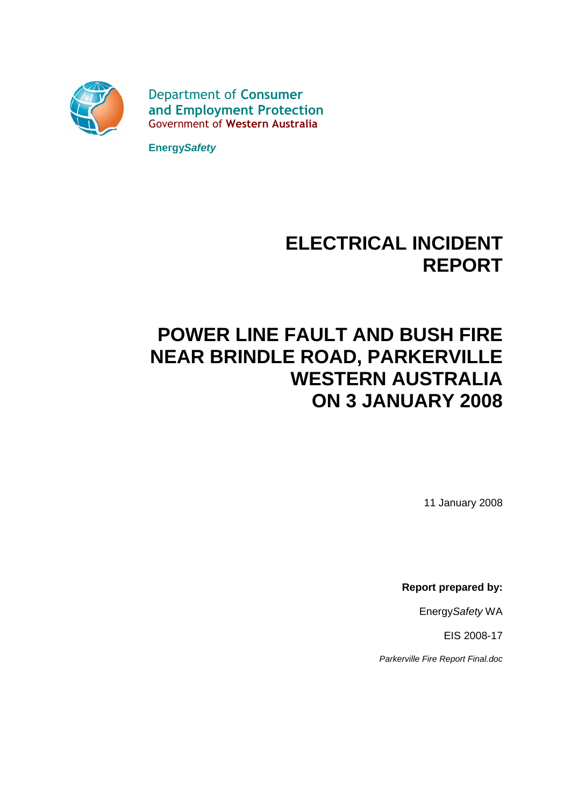

Department of **Consumer and Employment Protection** Government of **Western Australia**

**EnergySafety**

# **ELECTRICAL INCIDENT REPORT**

# **POWER LINE FAULT AND BUSH FIRE NEAR BRINDLE ROAD, PARKERVILLE WESTERN AUSTRALIA ON 3 JANUARY 2008**

11 January 2008

**Report prepared by:**

EnergySafety WA

EIS 2008-17

Parkerville Fire Report Final.doc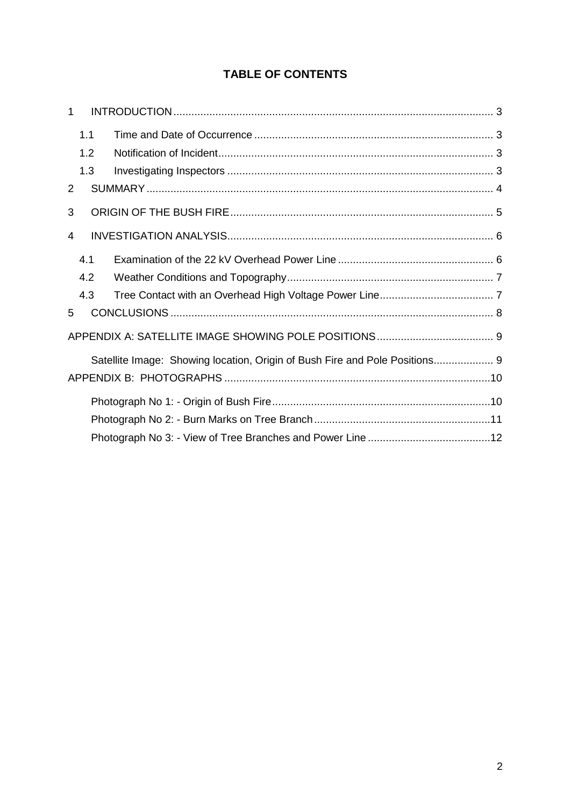## **TABLE OF CONTENTS**

| 1 |     |                                                                             |  |
|---|-----|-----------------------------------------------------------------------------|--|
|   | 1.1 |                                                                             |  |
|   | 1.2 |                                                                             |  |
|   | 1.3 |                                                                             |  |
| 2 |     |                                                                             |  |
| 3 |     |                                                                             |  |
| 4 |     |                                                                             |  |
|   | 4.1 |                                                                             |  |
|   | 4.2 |                                                                             |  |
|   | 4.3 |                                                                             |  |
| 5 |     |                                                                             |  |
|   |     |                                                                             |  |
|   |     | Satellite Image: Showing location, Origin of Bush Fire and Pole Positions 9 |  |
|   |     |                                                                             |  |
|   |     |                                                                             |  |
|   |     |                                                                             |  |
|   |     |                                                                             |  |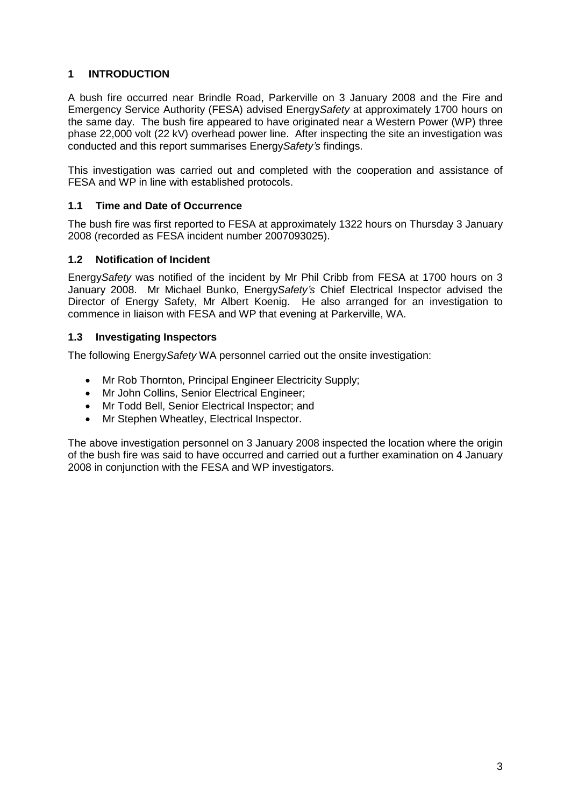## **1 INTRODUCTION**

A bush fire occurred near Brindle Road, Parkerville on 3 January 2008 and the Fire and Emergency Service Authority (FESA) advised EnergySafety at approximately 1700 hours on the same day. The bush fire appeared to have originated near a Western Power (WP) three phase 22,000 volt (22 kV) overhead power line. After inspecting the site an investigation was conducted and this report summarises EnergySafety*í*s findings.

This investigation was carried out and completed with the cooperation and assistance of FESA and WP in line with established protocols.

## **1.1 Time and Date of Occurrence**

The bush fire was first reported to FESA at approximately 1322 hours on Thursday 3 January 2008 (recorded as FESA incident number 2007093025).

## **1.2 Notification of Incident**

EnergySafety was notified of the incident by Mr Phil Cribb from FESA at 1700 hours on 3 January 2008. Mr Michael Bunko, EnergySafety*í*s Chief Electrical Inspector advised the Director of Energy Safety, Mr Albert Koenig. He also arranged for an investigation to commence in liaison with FESA and WP that evening at Parkerville, WA.

## **1.3 Investigating Inspectors**

The following Energy Safety WA personnel carried out the onsite investigation:

- Mr Rob Thornton, Principal Engineer Electricity Supply;
- Mr John Collins, Senior Electrical Engineer;
- Mr Todd Bell, Senior Electrical Inspector; and
- Mr Stephen Wheatley, Electrical Inspector.

The above investigation personnel on 3 January 2008 inspected the location where the origin of the bush fire was said to have occurred and carried out a further examination on 4 January 2008 in conjunction with the FESA and WP investigators.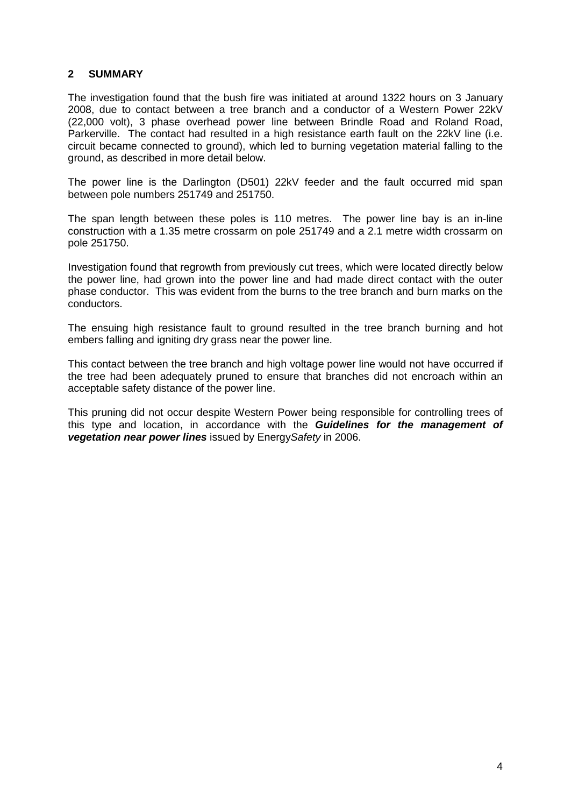#### **2 SUMMARY**

The investigation found that the bush fire was initiated at around 1322 hours on 3 January 2008, due to contact between a tree branch and a conductor of a Western Power 22kV (22,000 volt), 3 phase overhead power line between Brindle Road and Roland Road, Parkerville. The contact had resulted in a high resistance earth fault on the 22kV line (i.e. circuit became connected to ground), which led to burning vegetation material falling to the ground, as described in more detail below.

The power line is the Darlington (D501) 22kV feeder and the fault occurred mid span between pole numbers 251749 and 251750.

The span length between these poles is 110 metres. The power line bay is an in-line construction with a 1.35 metre crossarm on pole 251749 and a 2.1 metre width crossarm on pole 251750.

Investigation found that regrowth from previously cut trees, which were located directly below the power line, had grown into the power line and had made direct contact with the outer phase conductor. This was evident from the burns to the tree branch and burn marks on the conductors.

The ensuing high resistance fault to ground resulted in the tree branch burning and hot embers falling and igniting dry grass near the power line.

This contact between the tree branch and high voltage power line would not have occurred if the tree had been adequately pruned to ensure that branches did not encroach within an acceptable safety distance of the power line.

This pruning did not occur despite Western Power being responsible for controlling trees of this type and location, in accordance with the **Guidelines for the management of vegetation near power lines** issued by EnergySafety in 2006.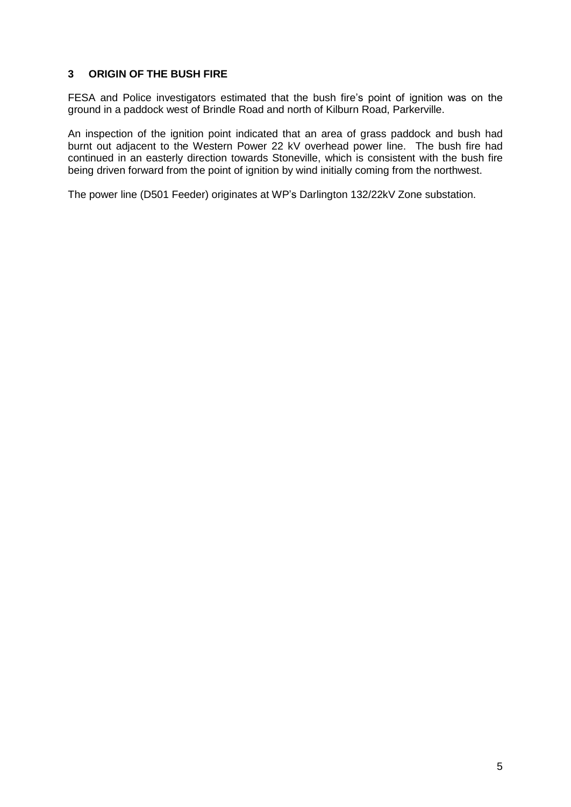## **3 ORIGIN OF THE BUSH FIRE**

FESA and Police investigators estimated that the bush fire's point of ignition was on the ground in a paddock west of Brindle Road and north of Kilburn Road, Parkerville.

An inspection of the ignition point indicated that an area of grass paddock and bush had burnt out adjacent to the Western Power 22 kV overhead power line. The bush fire had continued in an easterly direction towards Stoneville, which is consistent with the bush fire being driven forward from the point of ignition by wind initially coming from the northwest.

The power line (D501 Feeder) originates at WP's Darlington 132/22kV Zone substation.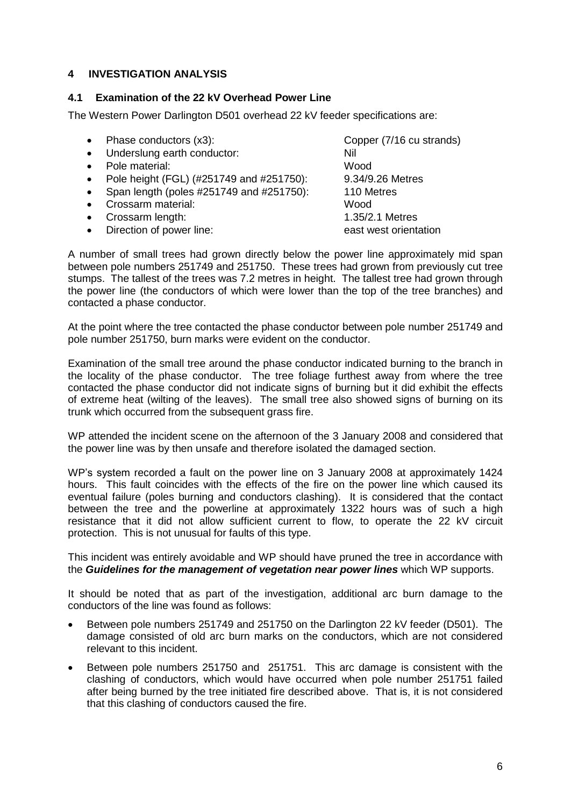## **4 INVESTIGATION ANALYSIS**

#### **4.1 Examination of the 22 kV Overhead Power Line**

The Western Power Darlington D501 overhead 22 kV feeder specifications are:

- Phase conductors (x3): Copper (7/16 cu strands)
- Underslung earth conductor: Nil<br>● Pole material: Wood
- Pole material:
- Pole height (FGL) (#251749 and #251750): 9.34/9.26 Metres
- Span length (poles #251749 and #251750): 110 Metres<br>• Crossarm material: Wood
- Crossarm material:
- Crossarm length: 1.35/2.1 Metres
- Direction of power line: east west orientation

A number of small trees had grown directly below the power line approximately mid span between pole numbers 251749 and 251750. These trees had grown from previously cuttree stumps. The tallest of the trees was 7.2 metres in height. The tallest tree had grown through the power line (the conductors of which were lower than the top of the tree branches) and contacted a phase conductor.

At the point where the tree contacted the phase conductor between pole number 251749 and pole number 251750, burn marks were evident on the conductor.

Examination of the small tree around the phase conductor indicated burning to the branch in the locality of the phase conductor. The tree foliage furthest away from where the tree contacted the phase conductor did not indicate signs of burning but it did exhibit the effects of extreme heat (wilting of the leaves). The small tree also showed signs of burning on its trunk which occurred from the subsequent grass fire.

WP attended the incident scene on the afternoon of the 3 January 2008 and considered that the power line was by then unsafe and therefore isolated the damaged section.

WP's system recorded a fault on the power line on 3 January 2008 at approximately 1424 hours. This fault coincides with the effects of the fire on the power line which caused its eventual failure (poles burning and conductors clashing). It is considered that the contact between the tree and the powerline at approximately 1322 hours was of such a high resistance that it did not allow sufficient current to flow, to operate the 22 kV circuit protection. This is not unusual for faults of this type.

This incident was entirely avoidable and WP should have pruned the tree in accordance with the **Guidelines for the management of vegetation near power lines** which WP supports.

It should be noted that as part of the investigation, additional arc burn damage to the conductors of the line was found as follows:

- Between pole numbers 251749 and 251750 on the Darlington 22 kV feeder (D501). The damage consisted of old arc burn marks on the conductors, which are not considered relevant to this incident.
- Between pole numbers 251750 and 251751. This arc damage is consistent with the clashing of conductors, which would have occurred when pole number 251751 failed after being burned by the tree initiated fire described above. That is, it is notconsidered that this clashing of conductors caused the fire.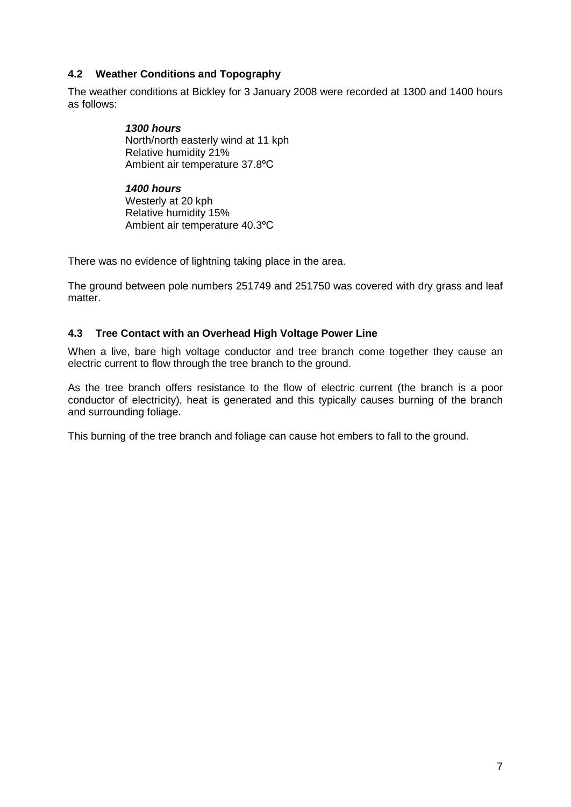## **4.2 Weather Conditions and Topography**

The weather conditions at Bickley for 3 January 2008 were recorded at 1300 and 1400 hours as follows:

> **1300 hours** North/north easterly wind at 11 kph Relative humidity 21% Ambient air temperature 37.8ºC

**1400 hours** Westerly at 20 kph Relative humidity 15% Ambient air temperature 40.3ºC

There was no evidence of lightning taking place in the area.

The ground between pole numbers 251749 and 251750 was covered with dry grass and leaf matter.

#### **4.3 Tree Contact with an Overhead High Voltage Power Line**

When a live, bare high voltage conductor and tree branch come together they cause an electric current to flow through the tree branch to the ground.

As the tree branch offers resistance to the flow of electric current (the branch is a poor conductor of electricity), heat is generated and this typically causes burning of the branch and surrounding foliage.

This burning of the tree branch and foliage can cause hot embers to fall to the ground.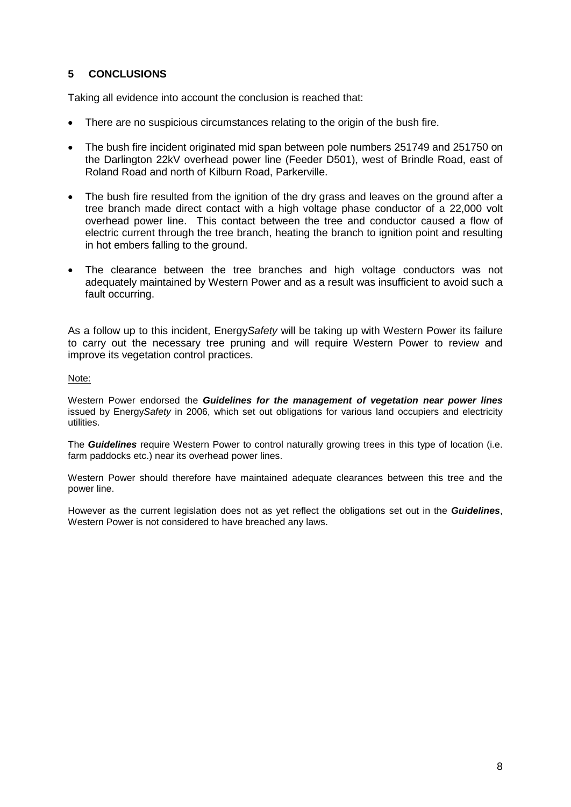## **5 CONCLUSIONS**

Taking all evidence into account the conclusion is reached that:

- There are no suspicious circumstances relating to the origin of the bush fire.
- The bush fire incident originated mid span between pole numbers 251749 and 251750 on the Darlington 22kV overhead power line (Feeder D501), west of Brindle Road, east of Roland Road and north of Kilburn Road, Parkerville.
- The bush fire resulted from the ignition of the dry grass and leaves on the ground after a tree branch made direct contact with a high voltage phase conductor of a 22,000 volt overhead power line. This contact between the tree and conductor caused a flow of electric current through the tree branch, heating the branch to ignition point and resulting in hot embers falling to the ground.
- The clearance between the tree branches and high voltage conductors was not adequately maintained by Western Power and as a result was insufficient to avoid such a fault occurring.

As a follow up to this incident, EnergySafety will be taking up with Western Power its failure to carry out the necessary tree pruning and will require Western Power to review and improve its vegetation control practices.

#### Note:

Western Power endorsed the **Guidelines for the management of vegetation near power lines** issued by EnergySafety in 2006, which set out obligations for various land occupiers and electricity utilities.

The **Guidelines** require Western Power to control naturally growing trees in this type of location (i.e. farm paddocks etc.) near its overhead power lines.

Western Power should therefore have maintained adequate clearances between this tree and the power line.

However as the current legislation does not as yet reflect the obligations set out in the **Guidelines**, Western Power is not considered to have breached any laws.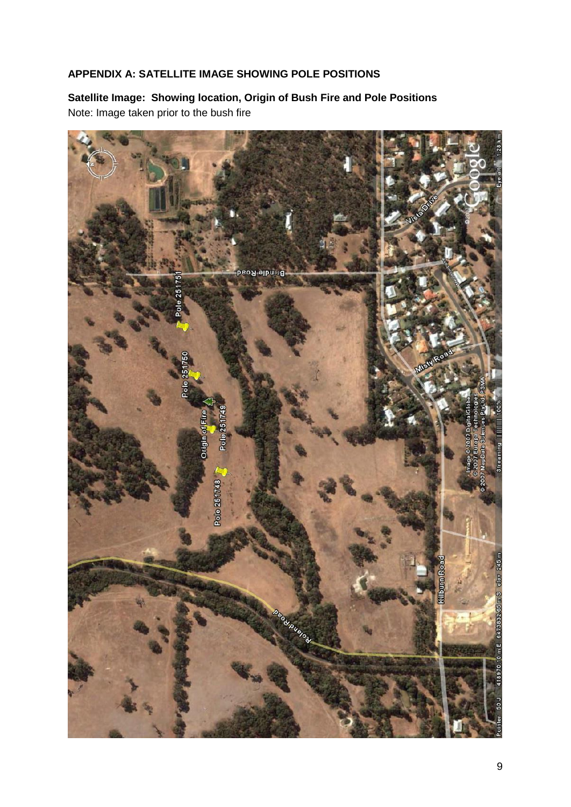## **APPENDIX A: SATELLITE IMAGE SHOWING POLE POSITIONS**

**Satellite Image: Showing location, Origin of Bush Fire and Pole Positions** Note: Image taken prior to the bush fire

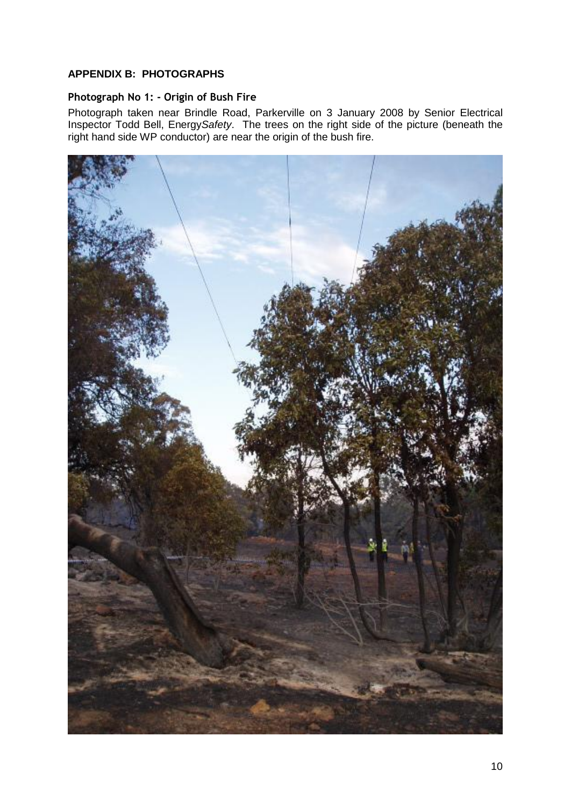## **APPENDIX B: PHOTOGRAPHS**

#### **Photograph No 1: - Origin of Bush Fire**

Photograph taken near Brindle Road, Parkerville on 3 January 2008 by Senior Electrical Inspector Todd Bell, EnergySafety. The trees on the right side of the picture (beneath the right hand side WP conductor) are near the origin of the bush fire.

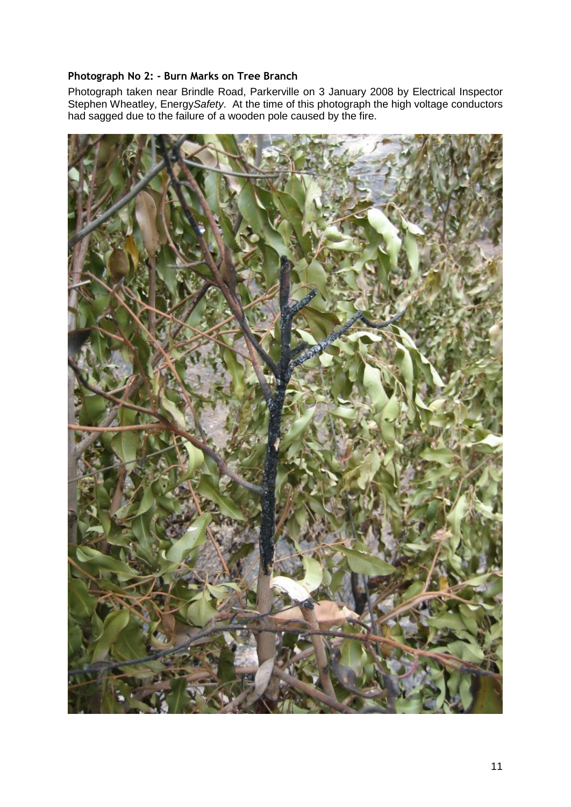#### **Photograph No 2: - Burn Marks on Tree Branch**

Photograph taken near Brindle Road, Parkerville on 3 January 2008 by Electrical Inspector Stephen Wheatley, EnergySafety. At the time of this photograph the high voltage conductors had sagged due to the failure of a wooden pole caused by the fire.